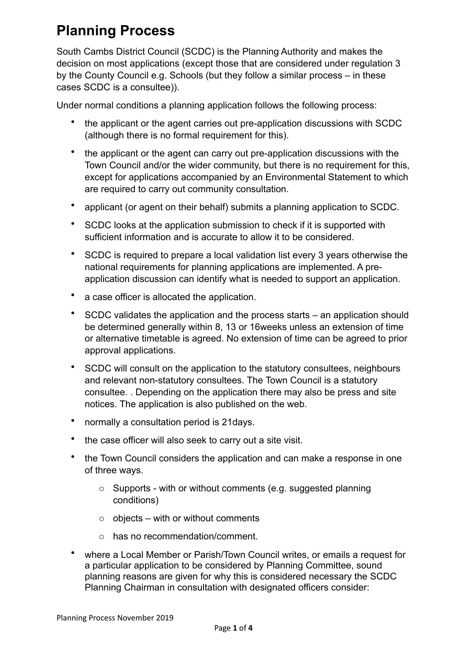## **Planning Process**

South Cambs District Council (SCDC) is the Planning Authority and makes the decision on most applications (except those that are considered under regulation 3 by the County Council e.g. Schools (but they follow a similar process – in these cases SCDC is a consultee)).

Under normal conditions a planning application follows the following process:

- the applicant or the agent carries out pre-application discussions with SCDC (although there is no formal requirement for this).
- the applicant or the agent can carry out pre-application discussions with the Town Council and/or the wider community, but there is no requirement for this, except for applications accompanied by an Environmental Statement to which are required to carry out community consultation.
- applicant (or agent on their behalf) submits a planning application to SCDC.
- SCDC looks at the application submission to check if it is supported with sufficient information and is accurate to allow it to be considered.
- SCDC is required to prepare a local validation list every 3 years otherwise the national requirements for planning applications are implemented. A preapplication discussion can identify what is needed to support an application.
- a case officer is allocated the application.
- SCDC validates the application and the process starts an application should be determined generally within 8, 13 or 16weeks unless an extension of time or alternative timetable is agreed. No extension of time can be agreed to prior approval applications.
- SCDC will consult on the application to the statutory consultees, neighbours and relevant non-statutory consultees. The Town Council is a statutory consultee. . Depending on the application there may also be press and site notices. The application is also published on the web.
- normally a consultation period is 21days.
- the case officer will also seek to carry out a site visit.
- the Town Council considers the application and can make a response in one of three ways.
	- o Supports with or without comments (e.g. suggested planning conditions)
	- $\circ$  objects with or without comments
	- o has no recommendation/comment.
- where a Local Member or Parish/Town Council writes, or emails a request for a particular application to be considered by Planning Committee, sound planning reasons are given for why this is considered necessary the SCDC Planning Chairman in consultation with designated officers consider: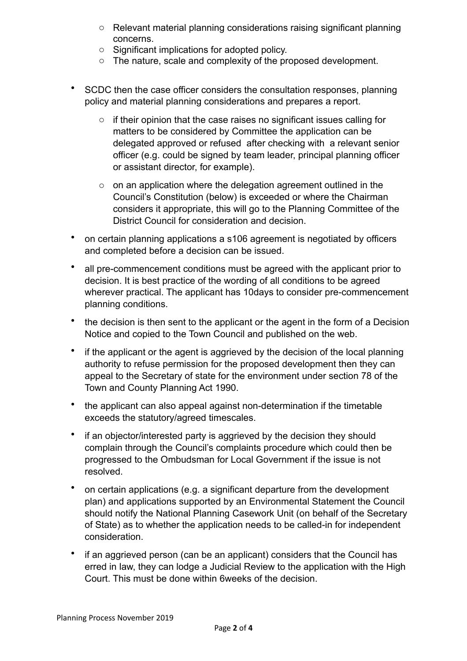- o Relevant material planning considerations raising significant planning concerns.
- o Significant implications for adopted policy.
- o The nature, scale and complexity of the proposed development.
- SCDC then the case officer considers the consultation responses, planning policy and material planning considerations and prepares a report.
	- o if their opinion that the case raises no significant issues calling for matters to be considered by Committee the application can be delegated approved or refused after checking with a relevant senior officer (e.g. could be signed by team leader, principal planning officer or assistant director, for example).
	- $\circ$  on an application where the delegation agreement outlined in the Council's Constitution (below) is exceeded or where the Chairman considers it appropriate, this will go to the Planning Committee of the District Council for consideration and decision.
- on certain planning applications a s106 agreement is negotiated by officers and completed before a decision can be issued.
- all pre-commencement conditions must be agreed with the applicant prior to decision. It is best practice of the wording of all conditions to be agreed wherever practical. The applicant has 10days to consider pre-commencement planning conditions.
- the decision is then sent to the applicant or the agent in the form of a Decision Notice and copied to the Town Council and published on the web.
- if the applicant or the agent is aggrieved by the decision of the local planning authority to refuse permission for the proposed development then they can appeal to the Secretary of state for the environment under section 78 of the Town and County Planning Act 1990.
- the applicant can also appeal against non-determination if the timetable exceeds the statutory/agreed timescales.
- if an objector/interested party is aggrieved by the decision they should complain through the Council's complaints procedure which could then be progressed to the Ombudsman for Local Government if the issue is not resolved.
- on certain applications (e.g. a significant departure from the development plan) and applications supported by an Environmental Statement the Council should notify the National Planning Casework Unit (on behalf of the Secretary of State) as to whether the application needs to be called-in for independent consideration.
- if an aggrieved person (can be an applicant) considers that the Council has erred in law, they can lodge a Judicial Review to the application with the High Court. This must be done within 6weeks of the decision.